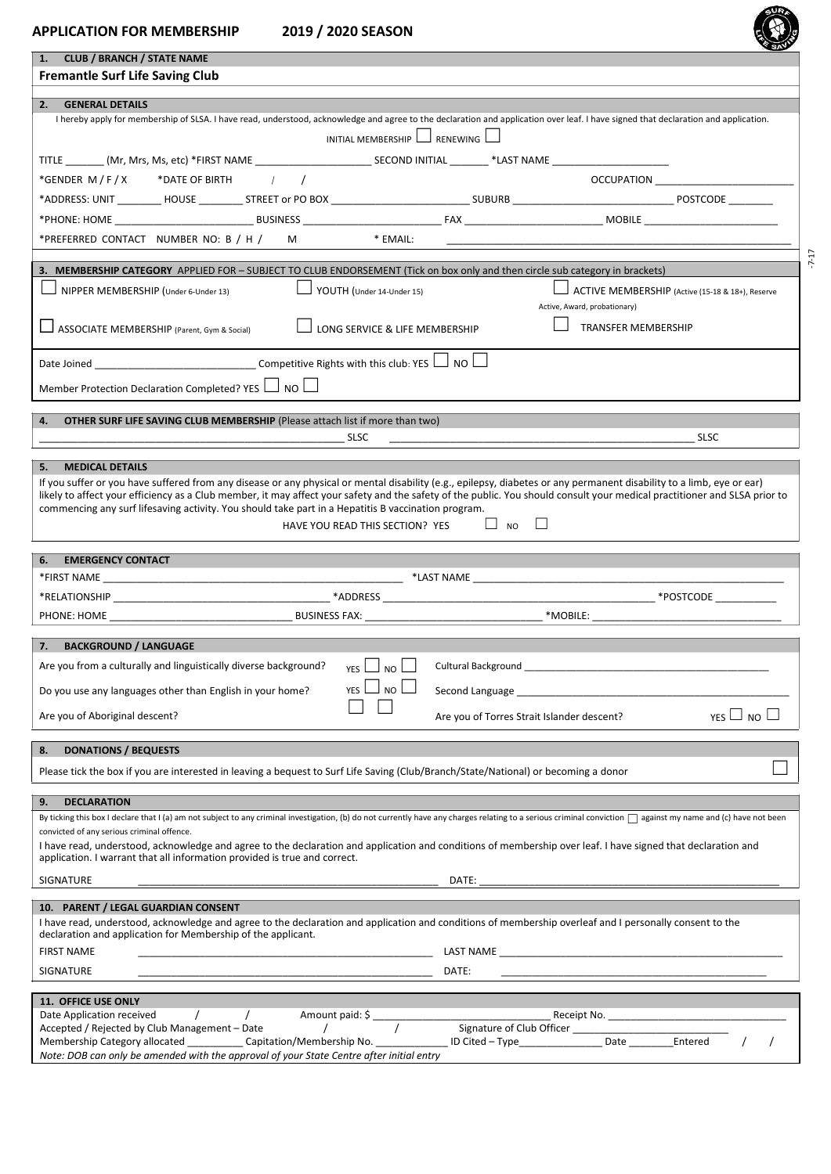| u |  |
|---|--|
|   |  |
|   |  |
|   |  |

| <b>CLUB / BRANCH / STATE NAME</b><br>1.<br><b>Fremantle Surf Life Saving Club</b>                                                                                                                                                                                                                                             |          |  |  |  |  |
|-------------------------------------------------------------------------------------------------------------------------------------------------------------------------------------------------------------------------------------------------------------------------------------------------------------------------------|----------|--|--|--|--|
|                                                                                                                                                                                                                                                                                                                               |          |  |  |  |  |
|                                                                                                                                                                                                                                                                                                                               |          |  |  |  |  |
| <b>GENERAL DETAILS</b><br>2.                                                                                                                                                                                                                                                                                                  |          |  |  |  |  |
| I hereby apply for membership of SLSA. I have read, understood, acknowledge and agree to the declaration and application over leaf. I have signed that declaration and application.                                                                                                                                           |          |  |  |  |  |
| INITIAL MEMBERSHIP $\Box$ RENEWING $\Box$                                                                                                                                                                                                                                                                                     |          |  |  |  |  |
|                                                                                                                                                                                                                                                                                                                               |          |  |  |  |  |
| *GENDER M/F/X *DATE OF BIRTH $/$<br><b>OCCUPATION</b>                                                                                                                                                                                                                                                                         |          |  |  |  |  |
|                                                                                                                                                                                                                                                                                                                               |          |  |  |  |  |
|                                                                                                                                                                                                                                                                                                                               |          |  |  |  |  |
| *PREFERRED CONTACT NUMBER NO: B / H / M * EMAIL:                                                                                                                                                                                                                                                                              |          |  |  |  |  |
|                                                                                                                                                                                                                                                                                                                               |          |  |  |  |  |
| 3. MEMBERSHIP CATEGORY APPLIED FOR - SUBJECT TO CLUB ENDORSEMENT (Tick on box only and then circle sub category in brackets)                                                                                                                                                                                                  |          |  |  |  |  |
| NIPPER MEMBERSHIP (Under 6-Under 13)<br>YOUTH (Under 14-Under 15)<br>ACTIVE MEMBERSHIP (Active (15-18 & 18+), Reserve                                                                                                                                                                                                         |          |  |  |  |  |
| Active, Award, probationary)                                                                                                                                                                                                                                                                                                  |          |  |  |  |  |
| ASSOCIATE MEMBERSHIP (Parent, Gym & Social)<br><b>TRANSFER MEMBERSHIP</b><br>LONG SERVICE & LIFE MEMBERSHIP                                                                                                                                                                                                                   |          |  |  |  |  |
| Date Joined _________________________________Competitive Rights with this club: YES L NO                                                                                                                                                                                                                                      |          |  |  |  |  |
| Member Protection Declaration Completed? YES $\Box$ NO $\Box$                                                                                                                                                                                                                                                                 |          |  |  |  |  |
|                                                                                                                                                                                                                                                                                                                               |          |  |  |  |  |
| <b>OTHER SURF LIFE SAVING CLUB MEMBERSHIP (Please attach list if more than two)</b><br>4.                                                                                                                                                                                                                                     |          |  |  |  |  |
| <b>SLSC</b><br><b>SLSC</b>                                                                                                                                                                                                                                                                                                    |          |  |  |  |  |
| 5.<br><b>MEDICAL DETAILS</b>                                                                                                                                                                                                                                                                                                  |          |  |  |  |  |
| If you suffer or you have suffered from any disease or any physical or mental disability (e.g., epilepsy, diabetes or any permanent disability to a limb, eye or ear)                                                                                                                                                         |          |  |  |  |  |
| likely to affect your efficiency as a Club member, it may affect your safety and the safety of the public. You should consult your medical practitioner and SLSA prior to                                                                                                                                                     |          |  |  |  |  |
| commencing any surf lifesaving activity. You should take part in a Hepatitis B vaccination program.                                                                                                                                                                                                                           |          |  |  |  |  |
| $\Box$ NO $\Box$<br>HAVE YOU READ THIS SECTION? YES                                                                                                                                                                                                                                                                           |          |  |  |  |  |
|                                                                                                                                                                                                                                                                                                                               |          |  |  |  |  |
| <b>EMERGENCY CONTACT</b><br>6.                                                                                                                                                                                                                                                                                                |          |  |  |  |  |
|                                                                                                                                                                                                                                                                                                                               |          |  |  |  |  |
|                                                                                                                                                                                                                                                                                                                               |          |  |  |  |  |
|                                                                                                                                                                                                                                                                                                                               |          |  |  |  |  |
| <b>BACKGROUND / LANGUAGE</b><br>7.                                                                                                                                                                                                                                                                                            |          |  |  |  |  |
| Are you from a culturally and linguistically diverse background?<br>Cultural Background and the control of the control of the control of the control of the control of the control of the control of the control of the control of the control of the control of the control of the control of the<br><b>YES</b><br><b>NO</b> |          |  |  |  |  |
|                                                                                                                                                                                                                                                                                                                               |          |  |  |  |  |
| <b>YES</b><br>NO.<br>Do you use any languages other than English in your home?<br>Second Language entrance and the second Language and the second Language and the second second second second second second second second second second second second second second second second second second second second s              |          |  |  |  |  |
| YES $\Box$ NO $\Box$<br>Are you of Aboriginal descent?<br>Are you of Torres Strait Islander descent?                                                                                                                                                                                                                          |          |  |  |  |  |
| <b>DONATIONS / BEQUESTS</b><br>8.                                                                                                                                                                                                                                                                                             |          |  |  |  |  |
| Please tick the box if you are interested in leaving a bequest to Surf Life Saving (Club/Branch/State/National) or becoming a donor                                                                                                                                                                                           |          |  |  |  |  |
|                                                                                                                                                                                                                                                                                                                               |          |  |  |  |  |
| <b>DECLARATION</b><br>9.<br>By ticking this box I declare that I (a) am not subject to any criminal investigation, (b) do not currently have any charges relating to a serious criminal conviction $\Box$ against my name and (c) have not been                                                                               |          |  |  |  |  |
| convicted of any serious criminal offence.                                                                                                                                                                                                                                                                                    |          |  |  |  |  |
| I have read, understood, acknowledge and agree to the declaration and application and conditions of membership over leaf. I have signed that declaration and                                                                                                                                                                  |          |  |  |  |  |
| application. I warrant that all information provided is true and correct.                                                                                                                                                                                                                                                     |          |  |  |  |  |
| SIGNATURE<br>DATE:<br><u> 1989 - Johann John Stein, markin fan it ferstjer fan de ferstjer fan it ferstjer fan it ferstjer fan it fers</u>                                                                                                                                                                                    |          |  |  |  |  |
| 10. PARENT / LEGAL GUARDIAN CONSENT                                                                                                                                                                                                                                                                                           |          |  |  |  |  |
| I have read, understood, acknowledge and agree to the declaration and application and conditions of membership overleaf and I personally consent to the                                                                                                                                                                       |          |  |  |  |  |
| declaration and application for Membership of the applicant.                                                                                                                                                                                                                                                                  |          |  |  |  |  |
| <b>FIRST NAME</b>                                                                                                                                                                                                                                                                                                             |          |  |  |  |  |
| SIGNATURE<br>DATE:<br>the control of the control of the control of the control of the control of the control of                                                                                                                                                                                                               |          |  |  |  |  |
| 11. OFFICE USE ONLY                                                                                                                                                                                                                                                                                                           |          |  |  |  |  |
| $\overline{1}$<br>Date Application received<br>$\sqrt{2}$                                                                                                                                                                                                                                                                     |          |  |  |  |  |
| Accepted / Rejected by Club Management - Date<br>Membership Category allocated ____________Capitation/Membership No. _________________ID Cited - Type ____________Date Entered                                                                                                                                                |          |  |  |  |  |
| Note: DOB can only be amended with the approval of your State Centre after initial entry                                                                                                                                                                                                                                      | $\prime$ |  |  |  |  |